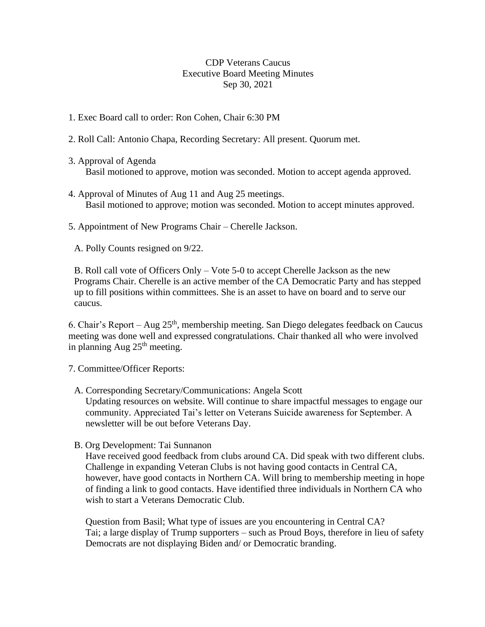## CDP Veterans Caucus Executive Board Meeting Minutes Sep 30, 2021

- 1. Exec Board call to order: Ron Cohen, Chair 6:30 PM
- 2. Roll Call: Antonio Chapa, Recording Secretary: All present. Quorum met.
- 3. Approval of Agenda Basil motioned to approve, motion was seconded. Motion to accept agenda approved.
- 4. Approval of Minutes of Aug 11 and Aug 25 meetings. Basil motioned to approve; motion was seconded. Motion to accept minutes approved.
- 5. Appointment of New Programs Chair Cherelle Jackson.
	- A. Polly Counts resigned on 9/22.

B. Roll call vote of Officers Only – Vote 5-0 to accept Cherelle Jackson as the new Programs Chair. Cherelle is an active member of the CA Democratic Party and has stepped up to fill positions within committees. She is an asset to have on board and to serve our caucus.

6. Chair's Report – Aug 25th, membership meeting. San Diego delegates feedback on Caucus meeting was done well and expressed congratulations. Chair thanked all who were involved in planning Aug  $25<sup>th</sup>$  meeting.

7. Committee/Officer Reports:

A. Corresponding Secretary/Communications: Angela Scott

Updating resources on website. Will continue to share impactful messages to engage our community. Appreciated Tai's letter on Veterans Suicide awareness for September. A newsletter will be out before Veterans Day.

B. Org Development: Tai Sunnanon

Have received good feedback from clubs around CA. Did speak with two different clubs. Challenge in expanding Veteran Clubs is not having good contacts in Central CA, however, have good contacts in Northern CA. Will bring to membership meeting in hope of finding a link to good contacts. Have identified three individuals in Northern CA who wish to start a Veterans Democratic Club.

Question from Basil; What type of issues are you encountering in Central CA? Tai; a large display of Trump supporters – such as Proud Boys, therefore in lieu of safety Democrats are not displaying Biden and/ or Democratic branding.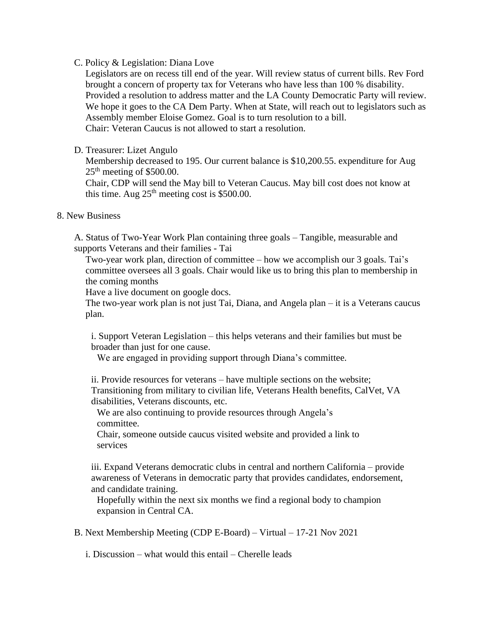## C. Policy & Legislation: Diana Love

Legislators are on recess till end of the year. Will review status of current bills. Rev Ford brought a concern of property tax for Veterans who have less than 100 % disability. Provided a resolution to address matter and the LA County Democratic Party will review. We hope it goes to the CA Dem Party. When at State, will reach out to legislators such as Assembly member Eloise Gomez. Goal is to turn resolution to a bill. Chair: Veteran Caucus is not allowed to start a resolution.

## D. Treasurer: Lizet Angulo

Membership decreased to 195. Our current balance is \$10,200.55. expenditure for Aug  $25<sup>th</sup>$  meeting of \$500.00.

Chair, CDP will send the May bill to Veteran Caucus. May bill cost does not know at this time. Aug  $25<sup>th</sup>$  meeting cost is \$500.00.

## 8. New Business

A. Status of Two-Year Work Plan containing three goals – Tangible, measurable and supports Veterans and their families - Tai

Two-year work plan, direction of committee – how we accomplish our 3 goals. Tai's committee oversees all 3 goals. Chair would like us to bring this plan to membership in the coming months

Have a live document on google docs.

The two-year work plan is not just Tai, Diana, and Angela plan – it is a Veterans caucus plan.

i. Support Veteran Legislation – this helps veterans and their families but must be broader than just for one cause.

We are engaged in providing support through Diana's committee.

ii. Provide resources for veterans – have multiple sections on the website; Transitioning from military to civilian life, Veterans Health benefits, CalVet, VA disabilities, Veterans discounts, etc.

We are also continuing to provide resources through Angela's committee.

Chair, someone outside caucus visited website and provided a link to services

iii. Expand Veterans democratic clubs in central and northern California – provide awareness of Veterans in democratic party that provides candidates, endorsement, and candidate training.

Hopefully within the next six months we find a regional body to champion expansion in Central CA.

B. Next Membership Meeting (CDP E-Board) – Virtual – 17-21 Nov 2021

i. Discussion – what would this entail – Cherelle leads